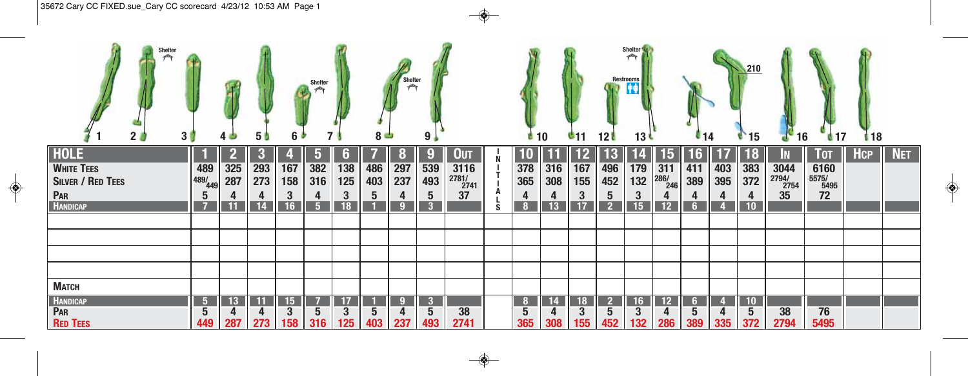| Shelter<br>selbs<br>2 <sub>0</sub><br>3 <sub>1</sub>                                   |                         | 40         | <b>50</b>                         | 6 ♪                                       | Shelter<br>7                            |                                         | $8 -$      | <b>Shelter</b>             | 9 <sub>1</sub>            |                                          |          | $\blacksquare$ 10 |                                    | 611              | 12 <sup>l</sup>                               | Shelter <sup>4</sup><br><b>Restrooms</b><br>13 <sup>l</sup> |                                             | $\mathbf{L}_{14}$                       |                 | 210<br>$^{\circ}15$          | 16                                                                     | 417                                             | 118        |            |
|----------------------------------------------------------------------------------------|-------------------------|------------|-----------------------------------|-------------------------------------------|-----------------------------------------|-----------------------------------------|------------|----------------------------|---------------------------|------------------------------------------|----------|-------------------|------------------------------------|------------------|-----------------------------------------------|-------------------------------------------------------------|---------------------------------------------|-----------------------------------------|-----------------|------------------------------|------------------------------------------------------------------------|-------------------------------------------------|------------|------------|
| <b>HOLE</b><br><b>WHITE TEES</b><br><b>SILVER / RED TEES</b><br>PAR<br><b>HANDICAP</b> | 489<br> 489/449 <br>IJ. | 325<br>287 | $\bf{3}$<br>293<br>273<br>4<br>14 | 167<br>158<br>3<br>16                     | Đ)<br>382<br>316<br>4<br>5 <sup>5</sup> | 6<br>138<br>125<br>3<br>$\overline{18}$ | 486<br>403 | O<br>297<br>237<br>4<br>-9 | 9<br>539<br>493<br>5<br>3 | Ουт<br>3116<br>$\frac{2781}{2741}$<br>37 | <b>S</b> | 378<br>365<br>4   | 316<br>308<br>4<br>$\overline{13}$ | 167<br>155<br>17 | $\bf{5}$<br>496<br>452<br>5<br>$\overline{2}$ | 179<br>132<br>3<br>15                                       | $\mathbf{b}$<br>$\frac{311}{286/246}$<br>12 | 16<br>411<br>389<br>4<br>6 <sup>1</sup> | 403<br>395<br>4 | 18<br>383<br>372<br>4<br>10  | IN.<br>$\begin{array}{r}\n 3044 \\  \hline\n 2794\n \end{array}$<br>35 | $\sqrt{101}$<br>6160<br>$\frac{1}{5575/}$<br>72 | <b>HCP</b> | <b>NET</b> |
|                                                                                        |                         |            |                                   |                                           |                                         |                                         |            |                            |                           |                                          |          |                   |                                    |                  |                                               |                                                             |                                             |                                         |                 |                              |                                                                        |                                                 |            |            |
| <b>МАТСН</b><br><b>HANDICAP</b><br>PAR<br><b>RED TEES</b>                              | $\sqrt{5}$<br>449       | 13<br>287  | 11<br>273                         | 15 <sub>15</sub><br>$\overline{3}$<br>158 | $5\overline{)}$<br>316                  | 3<br>125                                | 403        | 9<br>4<br>237              | 3<br>5<br>493             | 38<br>2741                               |          | 8<br>5<br>365     | 14<br>308                          | 18<br>3<br>155   | 2 <sub>2</sub><br>5<br>452                    | 16<br>$\mathbf{3}$<br>132                                   | 12<br>286                                   | 6 <sup>1</sup><br>$\overline{5}$<br>389 | 335             | 10<br>$5\phantom{.0}$<br>372 | 38<br>2794                                                             | 76<br>5495                                      |            |            |